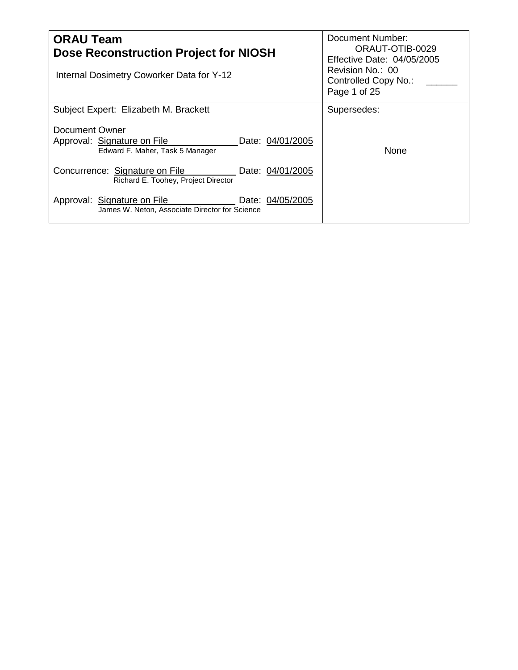| <b>ORAU Team</b><br><b>Dose Reconstruction Project for NIOSH</b><br>Internal Dosimetry Coworker Data for Y-12 | Document Number:<br>ORAUT-OTIB-0029<br>Effective Date: 04/05/2005<br>Revision No.: 00<br>Controlled Copy No.:<br>Page 1 of 25 |
|---------------------------------------------------------------------------------------------------------------|-------------------------------------------------------------------------------------------------------------------------------|
| Subject Expert: Elizabeth M. Brackett                                                                         | Supersedes:                                                                                                                   |
| Document Owner<br>Approval: Signature on File<br>Date: 04/01/2005<br>Edward F. Maher, Task 5 Manager          | None                                                                                                                          |
| Concurrence: Signature on File<br>Date: 04/01/2005<br>Richard E. Toohey, Project Director                     |                                                                                                                               |
| Approval: Signature on File<br>Date: 04/05/2005<br>James W. Neton, Associate Director for Science             |                                                                                                                               |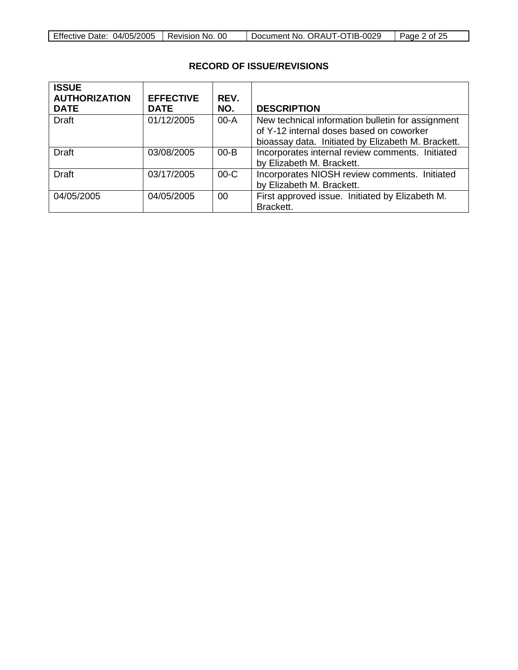| <b>Effective Date:</b><br>04/05/2005 | -00<br>Revision No. | Document No. ORAUT-OTIB-0029 | Page 2 of 25 |
|--------------------------------------|---------------------|------------------------------|--------------|

# **RECORD OF ISSUE/REVISIONS**

| <b>ISSUE</b><br><b>AUTHORIZATION</b><br><b>DATE</b> | <b>EFFECTIVE</b><br><b>DATE</b> | REV.<br>NO. | <b>DESCRIPTION</b>                                                                                                                                  |
|-----------------------------------------------------|---------------------------------|-------------|-----------------------------------------------------------------------------------------------------------------------------------------------------|
| Draft                                               | 01/12/2005                      | $00-A$      | New technical information bulletin for assignment<br>of Y-12 internal doses based on coworker<br>bioassay data. Initiated by Elizabeth M. Brackett. |
| <b>Draft</b>                                        | 03/08/2005                      | $00 - B$    | Incorporates internal review comments. Initiated<br>by Elizabeth M. Brackett.                                                                       |
| <b>Draft</b>                                        | 03/17/2005                      | $00-C$      | Incorporates NIOSH review comments. Initiated<br>by Elizabeth M. Brackett.                                                                          |
| 04/05/2005                                          | 04/05/2005                      | 00          | First approved issue. Initiated by Elizabeth M.<br>Brackett.                                                                                        |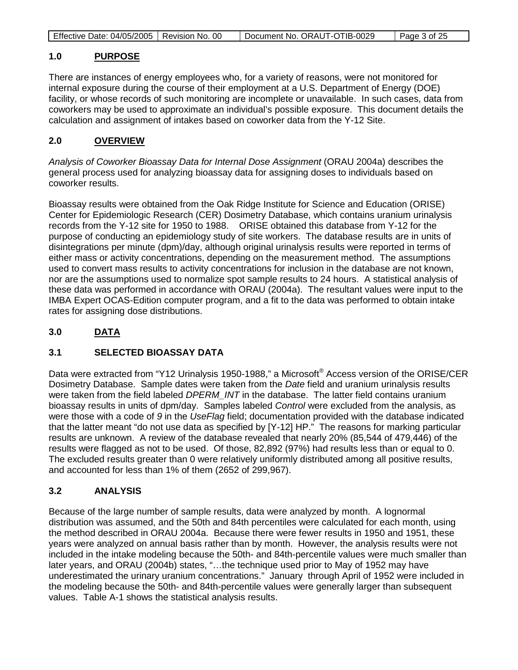| Page 3 of 25 |
|--------------|
|--------------|

#### **1.0 PURPOSE**

There are instances of energy employees who, for a variety of reasons, were not monitored for internal exposure during the course of their employment at a U.S. Department of Energy (DOE) facility, or whose records of such monitoring are incomplete or unavailable. In such cases, data from coworkers may be used to approximate an individual's possible exposure. This document details the calculation and assignment of intakes based on coworker data from the Y-12 Site.

#### **2.0 OVERVIEW**

*Analysis of Coworker Bioassay Data for Internal Dose Assignment* (ORAU 2004a) describes the general process used for analyzing bioassay data for assigning doses to individuals based on coworker results.

Bioassay results were obtained from the Oak Ridge Institute for Science and Education (ORISE) Center for Epidemiologic Research (CER) Dosimetry Database, which contains uranium urinalysis records from the Y-12 site for 1950 to 1988. ORISE obtained this database from Y-12 for the purpose of conducting an epidemiology study of site workers. The database results are in units of disintegrations per minute (dpm)/day, although original urinalysis results were reported in terms of either mass or activity concentrations, depending on the measurement method. The assumptions used to convert mass results to activity concentrations for inclusion in the database are not known, nor are the assumptions used to normalize spot sample results to 24 hours. A statistical analysis of these data was performed in accordance with ORAU (2004a). The resultant values were input to the IMBA Expert OCAS-Edition computer program, and a fit to the data was performed to obtain intake rates for assigning dose distributions.

#### **3.0 DATA**

## **3.1 SELECTED BIOASSAY DATA**

Data were extracted from "Y12 Urinalysis 1950-1988," a Microsoft® Access version of the ORISE/CER Dosimetry Database. Sample dates were taken from the *Date* field and uranium urinalysis results were taken from the field labeled *DPERM INT* in the database. The latter field contains uranium bioassay results in units of dpm/day. Samples labeled *Control* were excluded from the analysis, as were those with a code of *9* in the *UseFlag* field; documentation provided with the database indicated that the latter meant "do not use data as specified by [Y-12] HP." The reasons for marking particular results are unknown. A review of the database revealed that nearly 20% (85,544 of 479,446) of the results were flagged as not to be used. Of those, 82,892 (97%) had results less than or equal to 0. The excluded results greater than 0 were relatively uniformly distributed among all positive results, and accounted for less than 1% of them (2652 of 299,967).

# **3.2 ANALYSIS**

Because of the large number of sample results, data were analyzed by month. A lognormal distribution was assumed, and the 50th and 84th percentiles were calculated for each month, using the method described in ORAU 2004a. Because there were fewer results in 1950 and 1951, these years were analyzed on annual basis rather than by month. However, the analysis results were not included in the intake modeling because the 50th- and 84th-percentile values were much smaller than later years, and ORAU (2004b) states, "…the technique used prior to May of 1952 may have underestimated the urinary uranium concentrations." January through April of 1952 were included in the modeling because the 50th- and 84th-percentile values were generally larger than subsequent values. Table A-1 shows the statistical analysis results.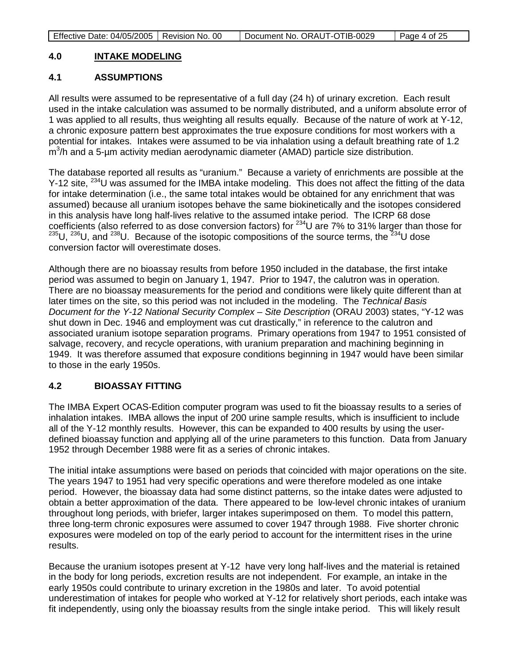| Page 4 of 25 |
|--------------|
|--------------|

#### **4.0 INTAKE MODELING**

## **4.1 ASSUMPTIONS**

All results were assumed to be representative of a full day (24 h) of urinary excretion. Each result used in the intake calculation was assumed to be normally distributed, and a uniform absolute error of 1 was applied to all results, thus weighting all results equally. Because of the nature of work at Y-12, a chronic exposure pattern best approximates the true exposure conditions for most workers with a potential for intakes. Intakes were assumed to be via inhalation using a default breathing rate of 1.2  $\text{m}^3$ /h and a 5-µm activity median aerodynamic diameter (AMAD) particle size distribution.

The database reported all results as "uranium." Because a variety of enrichments are possible at the Y-12 site, <sup>234</sup>U was assumed for the IMBA intake modeling. This does not affect the fitting of the data for intake determination (i.e., the same total intakes would be obtained for any enrichment that was assumed) because all uranium isotopes behave the same biokinetically and the isotopes considered in this analysis have long half-lives relative to the assumed intake period. The ICRP 68 dose coefficients (also referred to as dose conversion factors) for  $^{234}$ U are 7% to 31% larger than those for  $235$ U,  $236$ U, and  $238$ U. Because of the isotopic compositions of the source terms, the  $234$ U dose conversion factor will overestimate doses.

Although there are no bioassay results from before 1950 included in the database, the first intake period was assumed to begin on January 1, 1947. Prior to 1947, the calutron was in operation. There are no bioassay measurements for the period and conditions were likely quite different than at later times on the site, so this period was not included in the modeling. The *Technical Basis Document for the Y-12 National Security Complex – Site Description* (ORAU 2003) states, "Y-12 was shut down in Dec. 1946 and employment was cut drastically," in reference to the calutron and associated uranium isotope separation programs. Primary operations from 1947 to 1951 consisted of salvage, recovery, and recycle operations, with uranium preparation and machining beginning in 1949. It was therefore assumed that exposure conditions beginning in 1947 would have been similar to those in the early 1950s.

## **4.2 BIOASSAY FITTING**

The IMBA Expert OCAS-Edition computer program was used to fit the bioassay results to a series of inhalation intakes. IMBA allows the input of 200 urine sample results, which is insufficient to include all of the Y-12 monthly results. However, this can be expanded to 400 results by using the userdefined bioassay function and applying all of the urine parameters to this function. Data from January 1952 through December 1988 were fit as a series of chronic intakes.

The initial intake assumptions were based on periods that coincided with major operations on the site. The years 1947 to 1951 had very specific operations and were therefore modeled as one intake period. However, the bioassay data had some distinct patterns, so the intake dates were adjusted to obtain a better approximation of the data. There appeared to be low-level chronic intakes of uranium throughout long periods, with briefer, larger intakes superimposed on them. To model this pattern, three long-term chronic exposures were assumed to cover 1947 through 1988. Five shorter chronic exposures were modeled on top of the early period to account for the intermittent rises in the urine results.

Because the uranium isotopes present at Y-12 have very long half-lives and the material is retained in the body for long periods, excretion results are not independent. For example, an intake in the early 1950s could contribute to urinary excretion in the 1980s and later. To avoid potential underestimation of intakes for people who worked at Y-12 for relatively short periods, each intake was fit independently, using only the bioassay results from the single intake period. This will likely result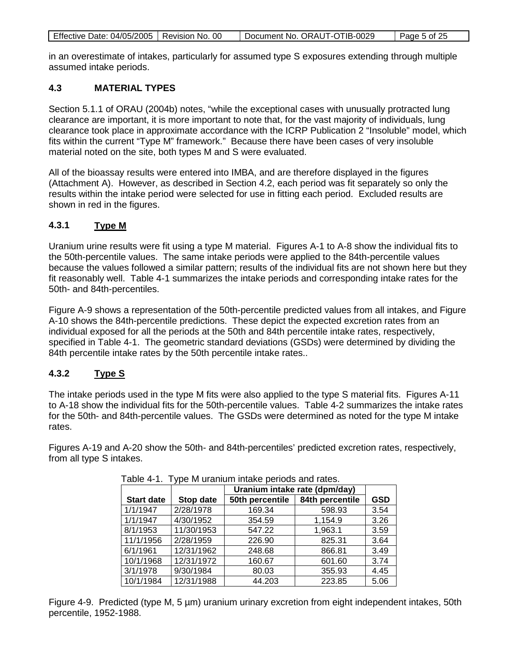|--|

in an overestimate of intakes, particularly for assumed type S exposures extending through multiple assumed intake periods.

### **4.3 MATERIAL TYPES**

Section 5.1.1 of ORAU (2004b) notes, "while the exceptional cases with unusually protracted lung clearance are important, it is more important to note that, for the vast majority of individuals, lung clearance took place in approximate accordance with the ICRP Publication 2 "Insoluble" model, which fits within the current "Type M" framework." Because there have been cases of very insoluble material noted on the site, both types M and S were evaluated.

All of the bioassay results were entered into IMBA, and are therefore displayed in the figures (Attachment A). However, as described in Section 4.2, each period was fit separately so only the results within the intake period were selected for use in fitting each period. Excluded results are shown in red in the figures.

#### **4.3.1 Type M**

Uranium urine results were fit using a type M material. Figures A-1 to A-8 show the individual fits to the 50th-percentile values. The same intake periods were applied to the 84th-percentile values because the values followed a similar pattern; results of the individual fits are not shown here but they fit reasonably well. Table 4-1 summarizes the intake periods and corresponding intake rates for the 50th- and 84th-percentiles.

Figure A-9 shows a representation of the 50th-percentile predicted values from all intakes, and Figure A-10 shows the 84th-percentile predictions. These depict the expected excretion rates from an individual exposed for all the periods at the 50th and 84th percentile intake rates, respectively, specified in Table 4-1. The geometric standard deviations (GSDs) were determined by dividing the 84th percentile intake rates by the 50th percentile intake rates..

#### **4.3.2 Type S**

The intake periods used in the type M fits were also applied to the type S material fits. Figures A-11 to A-18 show the individual fits for the 50th-percentile values. Table 4-2 summarizes the intake rates for the 50th- and 84th-percentile values. The GSDs were determined as noted for the type M intake rates.

Figures A-19 and A-20 show the 50th- and 84th-percentiles' predicted excretion rates, respectively, from all type S intakes.

|                   |            |                 | Uranium intake rate (dpm/day) |            |  |
|-------------------|------------|-----------------|-------------------------------|------------|--|
| <b>Start date</b> | Stop date  | 50th percentile | 84th percentile               | <b>GSD</b> |  |
| 1/1/1947          | 2/28/1978  | 169.34          | 598.93                        | 3.54       |  |
| 1/1/1947          | 4/30/1952  | 354.59          | 1,154.9                       | 3.26       |  |
| 8/1/1953          | 11/30/1953 | 547.22          | 1,963.1                       | 3.59       |  |
| 11/1/1956         | 2/28/1959  | 226.90          | 825.31                        | 3.64       |  |
| 6/1/1961          | 12/31/1962 | 248.68          | 866.81                        | 3.49       |  |
| 10/1/1968         | 12/31/1972 | 160.67          | 601.60                        | 3.74       |  |
| 3/1/1978          | 9/30/1984  | 80.03           | 355.93                        | 4.45       |  |
| 10/1/1984         | 12/31/1988 | 44.203          | 223.85                        | 5.06       |  |

| Table 4-1. Type M uranium intake periods and rates. |  |  |  |
|-----------------------------------------------------|--|--|--|
|                                                     |  |  |  |

Figure 4-9. Predicted (type M, 5 µm) uranium urinary excretion from eight independent intakes, 50th percentile, 1952-1988.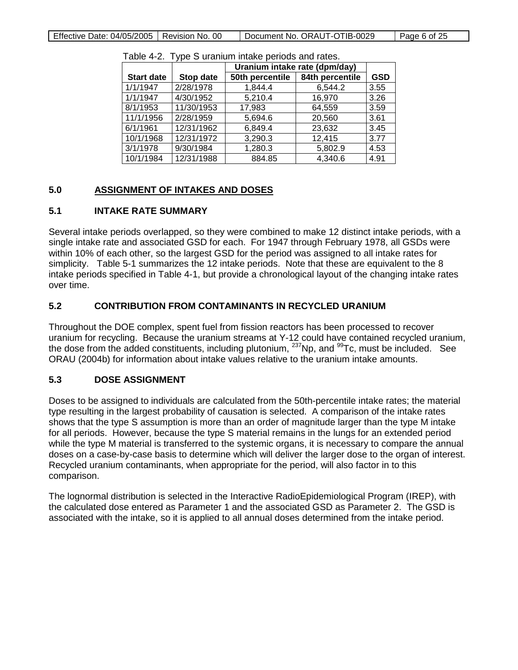|                   |            |                 | Uranium intake rate (dpm/day) |            |  |
|-------------------|------------|-----------------|-------------------------------|------------|--|
| <b>Start date</b> | Stop date  | 50th percentile | 84th percentile               | <b>GSD</b> |  |
| 1/1/1947          | 2/28/1978  | 1,844.4         | 6,544.2                       | 3.55       |  |
| 1/1/1947          | 4/30/1952  | 5,210.4         | 16,970                        | 3.26       |  |
| 8/1/1953          | 11/30/1953 | 17,983          | 64,559                        | 3.59       |  |
| 11/1/1956         | 2/28/1959  | 5,694.6         | 20,560                        | 3.61       |  |
| 6/1/1961          | 12/31/1962 | 6,849.4         | 23,632                        | 3.45       |  |
| 10/1/1968         | 12/31/1972 | 3,290.3         | 12,415                        | 3.77       |  |
| 3/1/1978          | 9/30/1984  | 1,280.3         | 5,802.9                       | 4.53       |  |
| 10/1/1984         | 12/31/1988 | 884.85          | 4,340.6                       | 4.91       |  |

Table 4-2. Type S uranium intake periods and rates.

#### **5.0 ASSIGNMENT OF INTAKES AND DOSES**

## **5.1 INTAKE RATE SUMMARY**

Several intake periods overlapped, so they were combined to make 12 distinct intake periods, with a single intake rate and associated GSD for each. For 1947 through February 1978, all GSDs were within 10% of each other, so the largest GSD for the period was assigned to all intake rates for simplicity. Table 5-1 summarizes the 12 intake periods. Note that these are equivalent to the 8 intake periods specified in Table 4-1, but provide a chronological layout of the changing intake rates over time.

## **5.2 CONTRIBUTION FROM CONTAMINANTS IN RECYCLED URANIUM**

Throughout the DOE complex, spent fuel from fission reactors has been processed to recover uranium for recycling. Because the uranium streams at Y-12 could have contained recycled uranium, the dose from the added constituents, including plutonium,  $^{237}$ Np, and  $^{99}$ Tc, must be included. See ORAU (2004b) for information about intake values relative to the uranium intake amounts.

## **5.3 DOSE ASSIGNMENT**

Doses to be assigned to individuals are calculated from the 50th-percentile intake rates; the material type resulting in the largest probability of causation is selected. A comparison of the intake rates shows that the type S assumption is more than an order of magnitude larger than the type M intake for all periods. However, because the type S material remains in the lungs for an extended period while the type M material is transferred to the systemic organs, it is necessary to compare the annual doses on a case-by-case basis to determine which will deliver the larger dose to the organ of interest. Recycled uranium contaminants, when appropriate for the period, will also factor in to this comparison.

The lognormal distribution is selected in the Interactive RadioEpidemiological Program (IREP), with the calculated dose entered as Parameter 1 and the associated GSD as Parameter 2. The GSD is associated with the intake, so it is applied to all annual doses determined from the intake period.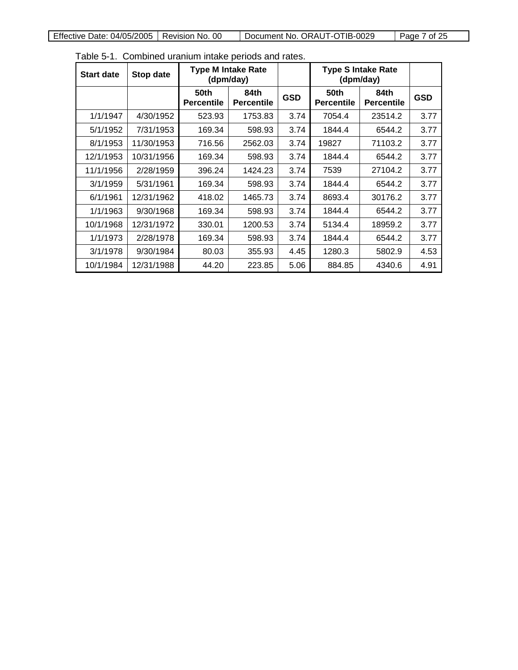| <b>Start date</b> | Stop date  | <b>Type M Intake Rate</b><br>(dpm/day) |                           |            |                           | <b>Type S Intake Rate</b><br>(dpm/day) |            |
|-------------------|------------|----------------------------------------|---------------------------|------------|---------------------------|----------------------------------------|------------|
|                   |            | 50th<br><b>Percentile</b>              | 84th<br><b>Percentile</b> | <b>GSD</b> | 50th<br><b>Percentile</b> | 84th<br><b>Percentile</b>              | <b>GSD</b> |
| 1/1/1947          | 4/30/1952  | 523.93                                 | 1753.83                   | 3.74       | 7054.4                    | 23514.2                                | 3.77       |
| 5/1/1952          | 7/31/1953  | 169.34                                 | 598.93                    | 3.74       | 1844.4                    | 6544.2                                 | 3.77       |
| 8/1/1953          | 11/30/1953 | 716.56                                 | 2562.03                   | 3.74       | 19827                     | 71103.2                                | 3.77       |
| 12/1/1953         | 10/31/1956 | 169.34                                 | 598.93                    | 3.74       | 1844.4                    | 6544.2                                 | 3.77       |
| 11/1/1956         | 2/28/1959  | 396.24                                 | 1424.23                   | 3.74       | 7539                      | 27104.2                                | 3.77       |
| 3/1/1959          | 5/31/1961  | 169.34                                 | 598.93                    | 3.74       | 1844.4                    | 6544.2                                 | 3.77       |
| 6/1/1961          | 12/31/1962 | 418.02                                 | 1465.73                   | 3.74       | 8693.4                    | 30176.2                                | 3.77       |
| 1/1/1963          | 9/30/1968  | 169.34                                 | 598.93                    | 3.74       | 1844.4                    | 6544.2                                 | 3.77       |
| 10/1/1968         | 12/31/1972 | 330.01                                 | 1200.53                   | 3.74       | 5134.4                    | 18959.2                                | 3.77       |
| 1/1/1973          | 2/28/1978  | 169.34                                 | 598.93                    | 3.74       | 1844.4                    | 6544.2                                 | 3.77       |
| 3/1/1978          | 9/30/1984  | 80.03                                  | 355.93                    | 4.45       | 1280.3                    | 5802.9                                 | 4.53       |
| 10/1/1984         | 12/31/1988 | 44.20                                  | 223.85                    | 5.06       | 884.85                    | 4340.6                                 | 4.91       |

Table 5-1. Combined uranium intake periods and rates.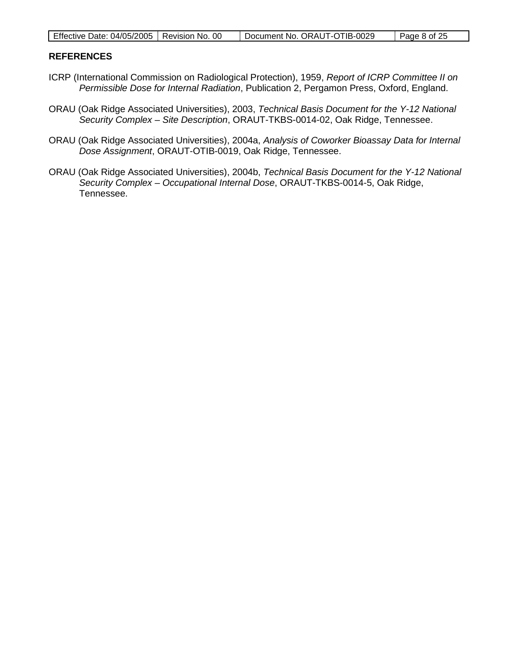| Effective Date: 04/05/2005   Revision No. 00 |  | Document No. ORAUT-OTIB-0029 | Page 8 of 25 |
|----------------------------------------------|--|------------------------------|--------------|
|----------------------------------------------|--|------------------------------|--------------|

### **REFERENCES**

- ICRP (International Commission on Radiological Protection), 1959, *Report of ICRP Committee II on Permissible Dose for Internal Radiation*, Publication 2, Pergamon Press, Oxford, England.
- ORAU (Oak Ridge Associated Universities), 2003, *Technical Basis Document for the Y-12 National Security Complex – Site Description*, ORAUT-TKBS-0014-02, Oak Ridge, Tennessee.
- ORAU (Oak Ridge Associated Universities), 2004a, *Analysis of Coworker Bioassay Data for Internal Dose Assignment*, ORAUT-OTIB-0019, Oak Ridge, Tennessee.
- ORAU (Oak Ridge Associated Universities), 2004b, *Technical Basis Document for the Y-12 National Security Complex – Occupational Internal Dose*, ORAUT-TKBS-0014-5, Oak Ridge, Tennessee.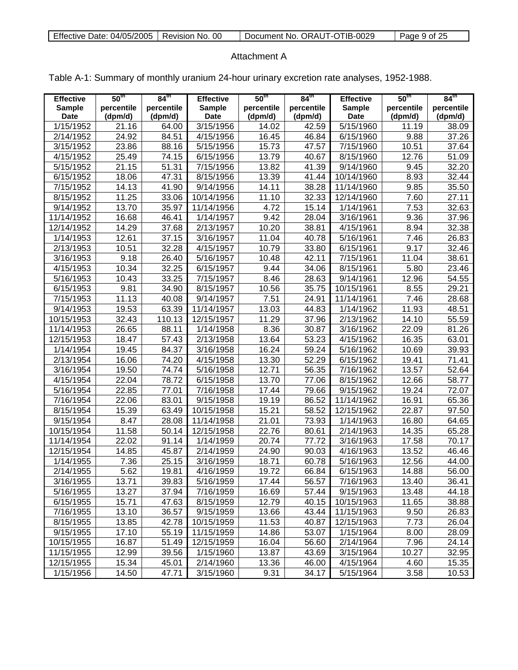| Effective Date: 04/05/2005   Revision No. 00 |  | Document No. ORAUT-OTIB-0029 | Page 9 of 25 |
|----------------------------------------------|--|------------------------------|--------------|
|----------------------------------------------|--|------------------------------|--------------|

### Attachment A

| <b>Effective</b>             | 50 <sup>th</sup>      | $84^{\text{th}}$      | <b>Effective</b>             | 50 <sup>th</sup>      | 84 <sup>th</sup>      | <b>Effective</b>             | 50 <sup>th</sup>      | 84 <sup>th</sup>      |
|------------------------------|-----------------------|-----------------------|------------------------------|-----------------------|-----------------------|------------------------------|-----------------------|-----------------------|
| <b>Sample</b><br><b>Date</b> | percentile<br>(dpm/d) | percentile<br>(dpm/d) | <b>Sample</b><br><b>Date</b> | percentile<br>(dpm/d) | percentile<br>(dpm/d) | <b>Sample</b><br><b>Date</b> | percentile<br>(dpm/d) | percentile<br>(dpm/d) |
| 1/15/1952                    | 21.16                 | 64.00                 | 3/15/1956                    | 14.02                 | 42.59                 | 5/15/1960                    | 11.19                 | 38.09                 |
| 2/14/1952                    | 24.92                 | 84.51                 | 4/15/1956                    | 16.45                 | 46.84                 | 6/15/1960                    | 9.88                  | 37.26                 |
| 3/15/1952                    | 23.86                 | 88.16                 | 5/15/1956                    | 15.73                 | 47.57                 | 7/15/1960                    | 10.51                 | 37.64                 |
| 4/15/1952                    | 25.49                 | 74.15                 | 6/15/1956                    | 13.79                 | 40.67                 | 8/15/1960                    | 12.76                 | 51.09                 |
| 5/15/1952                    | 21.15                 | 51.31                 | 7/15/1956                    | 13.82                 | 41.39                 | 9/14/1960                    | 9.45                  | 32.20                 |
| 6/15/1952                    | 18.06                 | 47.31                 | 8/15/1956                    | 13.39                 | 41.44                 | 10/14/1960                   | 8.93                  | 32.44                 |
| 7/15/1952                    | 14.13                 | 41.90                 | 9/14/1956                    | 14.11                 | 38.28                 | 11/14/1960                   | 9.85                  | 35.50                 |
| 8/15/1952                    | 11.25                 | 33.06                 | 10/14/1956                   | 11.10                 | 32.33                 | 12/14/1960                   | 7.60                  | $\overline{27.11}$    |
| 9/14/1952                    | 13.70                 | 35.97                 | 11/14/1956                   | 4.72                  | 15.14                 | $\frac{1}{1444961}$          | 7.53                  | 32.63                 |
| 11/14/1952                   | 16.68                 | 46.41                 | 1/14/1957                    | 9.42                  | 28.04                 | 3/16/1961                    | 9.36                  | 37.96                 |
| 12/14/1952                   | 14.29                 | 37.68                 | 2/13/1957                    | 10.20                 | 38.81                 | 4/15/1961                    | 8.94                  | 32.38                 |
| 1/14/1953                    | 12.61                 | 37.15                 | 3/16/1957                    | 11.04                 | 40.78                 | 5/16/1961                    | 7.46                  | 26.83                 |
| 2/13/1953                    | 10.51                 | 32.28                 | 4/15/1957                    | 10.79                 | 33.80                 | 6/15/1961                    | 9.17                  | 32.46                 |
| 3/16/1953                    | 9.18                  | 26.40                 | 5/16/1957                    | 10.48                 | 42.11                 | 7/15/1961                    | 11.04                 | 38.61                 |
| 4/15/1953                    | 10.34                 | 32.25                 | 6/15/1957                    | 9.44                  | 34.06                 | 8/15/1961                    | 5.80                  | 23.46                 |
| $\frac{1}{5/16/1953}$        |                       | 33.25                 | 7/15/1957                    |                       | 28.63                 |                              | 12.96                 | 54.55                 |
|                              | 10.43<br>9.81         |                       |                              | 8.46                  |                       | 9/14/1961                    |                       | 29.21                 |
| 6/15/1953                    |                       | 34.90                 | 8/15/1957                    | 10.56                 | 35.75                 | 10/15/1961                   | 8.55                  |                       |
| 7/15/1953                    | 11.13                 | 40.08                 | 9/14/1957                    | 7.51                  | 24.91                 | 11/14/1961                   | 7.46                  | 28.68                 |
| 9/14/1953                    | 19.53                 | 63.39                 | 11/14/1957                   | 13.03                 | 44.83                 | 1/14/1962                    | 11.93                 | 48.51                 |
| 10/15/1953                   | 32.43                 | 110.13                | 12/15/1957                   | 11.29                 | 37.96                 | 2/13/1962                    | 14.10                 | 55.59                 |
| 11/14/1953                   | 26.65                 | 88.11                 | 1/14/1958                    | 8.36                  | 30.87                 | 3/16/1962                    | 22.09                 | 81.26                 |
| 12/15/1953                   | 18.47                 | 57.43                 | 2/13/1958                    | 13.64                 | 53.23                 | 4/15/1962                    | 16.35                 | 63.01                 |
| 1/14/1954                    | 19.45                 | 84.37                 | 3/16/1958                    | 16.24                 | 59.24                 | 5/16/1962                    | 10.69                 | 39.93                 |
| 2/13/1954                    | 16.06                 | 74.20                 | 4/15/1958                    | 13.30                 | 52.29                 | 6/15/1962                    | 19.41                 | 71.41                 |
| 3/16/1954                    | 19.50                 | 74.74                 | 5/16/1958                    | 12.71                 | 56.35                 | 7/16/1962                    | 13.57                 | 52.64                 |
| 4/15/1954                    | 22.04                 | 78.72                 | 6/15/1958                    | 13.70                 | 77.06                 | 8/15/1962                    | 12.66                 | 58.77                 |
| 5/16/1954                    | 22.85                 | 77.01                 | 7/16/1958                    | 17.44                 | 79.66                 | 9/15/1962                    | 19.24                 | 72.07                 |
| 7/16/1954                    | 22.06                 | 83.01                 | 9/15/1958                    | 19.19                 | 86.52                 | 11/14/1962                   | 16.91                 | 65.36                 |
| 8/15/1954                    | 15.39                 | 63.49                 | 10/15/1958                   | 15.21                 | 58.52                 | 12/15/1962                   | 22.87                 | 97.50                 |
| 9/15/1954                    | 8.47                  | 28.08                 | 11/14/1958                   | 21.01                 | 73.93                 | 1/14/1963                    | 16.80                 | 64.65                 |
| 10/15/1954                   | 11.58                 | 50.14                 | 12/15/1958                   | 22.76                 | 80.61                 | 2/14/1963                    | 14.35                 | 65.28                 |
| 11/14/1954                   | 22.02                 | 91.14                 | 1/14/1959                    | 20.74                 | 77.72                 | 3/16/1963                    | 17.58                 | 70.17                 |
| 12/15/1954                   | 14.85                 | 45.87                 | 2/14/1959                    | 24.90                 | 90.03                 | 4/16/1963                    | 13.52                 | 46.46                 |
| 1/14/1955                    | 7.36                  | 25.15                 | 3/16/1959                    | 18.71                 | 60.78                 | 5/16/1963                    | 12.56                 | 44.00                 |
| 2/14/1955                    | 5.62                  | 19.81                 | 4/16/1959                    | 19.72                 | 66.84                 | 6/15/1963                    | 14.88                 | 56.00                 |
| 3/16/1955                    | 13.71                 | 39.83                 | 5/16/1959                    | 17.44                 | 56.57                 | 7/16/1963                    | 13.40                 | 36.41                 |
| 5/16/1955                    | 13.27                 | 37.94                 | 7/16/1959                    | 16.69                 | $\overline{57.44}$    | 9/15/1963                    | 13.48                 | 44.18                 |
| 6/15/1955                    | 15.71                 | 47.63                 | 8/15/1959                    | 12.79                 | 40.15                 | 10/15/1963                   | 11.65                 | 38.88                 |

7/16/1955 13.10 36.57 9/15/1959 13.66 43.44 11/15/1963 9.50 26.83 8/15/1955 13.85 42.78 10/15/1959 11.53 40.87 12/15/1963 7.73 26.04 9/15/1955 17.10 55.19 11/15/1959 14.86 53.07 1/15/1964 8.00 28.09 10/15/1955 16.87 51.49 12/15/1959 16.04 56.60 2/14/1964 7.96 24.14<br>11/15/1955 12.99 39.56 1/15/1960 13.87 43.69 3/15/1964 10.27 32.95 11/15/1955 | 12.99 | 39.56 | 1/15/1960 | 13.87 | 43.69 | 3/15/1964 | 10.27 | 32.95 12/15/1955 15.34 45.01 2/14/1960 13.36 46.00 4/15/1964 4.60 15.35 1/15/1956 | 14.50 | 47.71 | 3/15/1960 | 9.31 | 34.17 | 5/15/1964 | 3.58 | 10.53

Table A-1: Summary of monthly uranium 24-hour urinary excretion rate analyses, 1952-1988.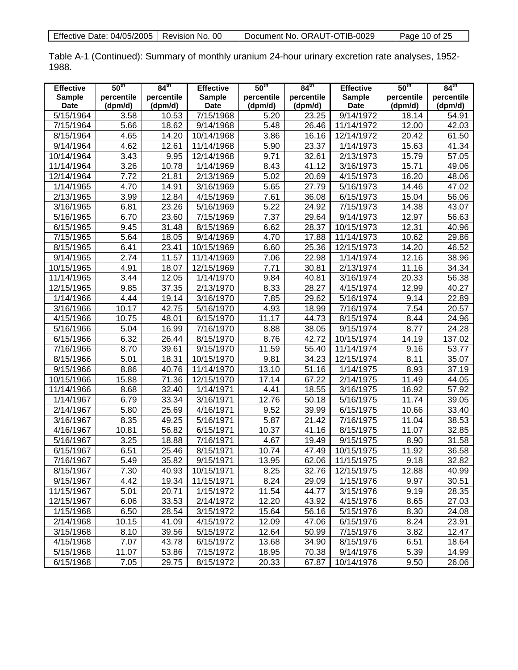| Effective Date: 04/05/2005   Revision No. 00 |  | Document No. ORAUT-OTIB-0029 | Page 10 of $25$ |
|----------------------------------------------|--|------------------------------|-----------------|
|----------------------------------------------|--|------------------------------|-----------------|

Table A-1 (Continued): Summary of monthly uranium 24-hour urinary excretion rate analyses, 1952- 1988.

| <b>Effective</b>       | 50 <sup>th</sup>  | $84^{\text{th}}$   | <b>Effective</b> | 50 <sup>th</sup>  | $84^{\text{th}}$    | <b>Effective</b>       | 50 <sup>th</sup>   | 84 <sup>th</sup>   |
|------------------------|-------------------|--------------------|------------------|-------------------|---------------------|------------------------|--------------------|--------------------|
| <b>Sample</b>          | percentile        | percentile         | <b>Sample</b>    | percentile        | percentile          | <b>Sample</b>          | percentile         | percentile         |
| <b>Date</b>            | (dpm/d)           | (dpm/d)            | <b>Date</b>      | (dpm/d)           | (dpm/d)             | <b>Date</b>            | (dpm/d)            | (dpm/d)            |
| 5/15/1964              | 3.58              | 10.53              | 7/15/1968        | 5.20              | 23.25               | $\overline{9}/14/1972$ | 18.14              | 54.91              |
| 7/15/1964              | $\overline{5.66}$ | 18.62              | 9/14/1968        | $\overline{5.48}$ | 26.46               | 11/14/1972             | 12.00              | 42.03              |
| 8/15/1964              | 4.65              | 14.20              | 10/14/1968       | 3.86              | 16.16               | 12/14/1972             | $\overline{20.42}$ | 61.50              |
| 9/14/1964              | 4.62              | 12.61              | 11/14/1968       | $\overline{5.90}$ | 23.37               | 1/14/1973              | 15.63              | 41.34              |
| 10/14/1964             | 3.43              | 9.95               | 12/14/1968       | 9.71              | 32.61               | 2/13/1973              | 15.79              | 57.05              |
| 11/14/1964             | 3.26              | 10.78              | 1/14/1969        | 8.43              | 41.12               | 3/16/1973              | 15.71              | 49.06              |
| 12/14/1964             | 7.72              | 21.81              | 2/13/1969        | 5.02              | 20.69               | 4/15/1973              | 16.20              | 48.06              |
| 1/14/1965              | 4.70              | 14.91              | 3/16/1969        | 5.65              | 27.79               | 5/16/1973              | 14.46              | 47.02              |
| 2/13/1965              | 3.99              | 12.84              | 4/15/1969        | 7.61              | 36.08               | 6/15/1973              | 15.04              | $\overline{56.06}$ |
| 3/16/1965              | 6.81              | 23.26              | 5/16/1969        | $\overline{5.22}$ | 24.92               | 7/15/1973              | 14.38              | 43.07              |
| 5/16/1965              | 6.70              | 23.60              | 7/15/1969        | 7.37              | 29.64               | 9/14/1973              | 12.97              | 56.63              |
| 6/15/1965              | 9.45              | 31.48              | 8/15/1969        | 6.62              | 28.37               | 10/15/1973             | 12.31              | 40.96              |
| 7/15/1965              | 5.64              | 18.05              | 9/14/1969        | 4.70              | 17.88               | 11/14/1973             | 10.62              | 29.86              |
| 8/15/1965              | 6.41              | 23.41              | 10/15/1969       | 6.60              | 25.36               | 12/15/1973             | 14.20              | 46.52              |
| 9/14/1965              | $\overline{2.74}$ | 11.57              | 11/14/1969       | 7.06              | 22.98               | 1/14/1974              | 12.16              | 38.96              |
| 10/15/1965             | 4.91              | 18.07              | 12/15/1969       | 7.71              | 30.81               | 2/13/1974              | 11.16              | 34.34              |
| 11/14/1965             | 3.44              | 12.05              | 1/14/1970        | 9.84              | 40.81               | 3/16/1974              | 20.33              | 56.38              |
| 12/15/1965             | 9.85              | 37.35              | 2/13/1970        | 8.33              | 28.27               | 4/15/1974              | 12.99              | 40.27              |
| 1/14/1966              | 4.44              | 19.14              | 3/16/1970        | 7.85              | 29.62               | 5/16/1974              | 9.14               | 22.89              |
| 3/16/1966              | 10.17             | $\overline{42.75}$ | 5/16/1970        | 4.93              | 18.99               | 7/16/1974              | $\overline{7.54}$  | 20.57              |
| 4/15/1966              | 10.75             | 48.01              | 6/15/1970        | 11.17             | 44.73               | 8/15/1974              | 8.44               | 24.96              |
| 5/16/1966              | 5.04              | 16.99              | 7/16/1970        | 8.88              | 38.05               | 9/15/1974              | 8.77               | 24.28              |
| 6/15/1966              | 6.32              | 26.44              | 8/15/1970        | 8.76              | 42.72               | 10/15/1974             | 14.19              | 137.02             |
| 7/16/1966              | 8.70              | 39.61              | 9/15/1970        | 11.59             | 55.40               | 11/14/1974             | 9.16               | 53.77              |
| 8/15/1966              | 5.01              | 18.31              | 10/15/1970       | 9.81              | 34.23               | 12/15/1974             | 8.11               | 35.07              |
| 9/15/1966              | 8.86              | 40.76              | 11/14/1970       | 13.10             | $\overline{5}1.16$  | 1/14/1975              | 8.93               | 37.19              |
| 10/15/1966             | 15.88             | 71.36              | 12/15/1970       | 17.14             | 67.22               | 2/14/1975              | $\overline{11.49}$ | 44.05              |
| 11/14/1966             | 8.68              | 32.40              | 1/14/1971        | 4.41              | 18.55               | 3/16/1975              | 16.92              | 57.92              |
| 1/14/1967              | 6.79              | 33.34              | 3/16/1971        | 12.76             | 50.18               | 5/16/1975              | 11.74              | 39.05              |
| 2/14/1967              | 5.80              | 25.69              | 4/16/1971        | 9.52              | 39.99               | 6/15/1975              | 10.66              | 33.40              |
| 3/16/1967              | 8.35              | 49.25              | 5/16/1971        | 5.87              | $\overline{2}$ 1.42 | 7/16/1975              | 11.04              | 38.53              |
| 4/16/1967              | 10.81             | 56.82              | 6/15/1971        | 10.37             | 41.16               | 8/15/1975              | 11.07              | 32.85              |
| 5/16/1967              | 3.25              | 18.88              | 7/16/1971        | 4.67              | 19.49               | 9/15/1975              | 8.90               | 31.58              |
| 6/15/1967              | 6.51              | 25.46              | 8/15/1971        | 10.74             | 47.49               | 10/15/1975             | 11.92              | 36.58              |
| 7/16/1967              | 5.49              | 35.82              | 9/15/1971        | 13.95             | 62.06               | 11/15/1975             | 9.18               | 32.82              |
| 8/15/1967              | 7.30              | 40.93              | 10/15/1971       | 8.25              | 32.76               | 12/15/1975             | 12.88              | 40.99              |
| 9/15/1967              | 4.42              | 19.34              | 11/15/1971       | 8.24              | 29.09               | 1/15/1976              | 9.97               | 30.51              |
| 11/15/1967             | 5.01              | 20.71              | 1/15/1972        | 11.54             | 44.77               | 3/15/1976              | 9.19               | 28.35              |
| 12/15/1967             | 6.06              | 33.53              | 2/14/1972        | 12.20             | 43.92               | 4/15/1976              | 8.65               | 27.03              |
| 1/15/1968              | 6.50              | 28.54              | 3/15/1972        | 15.64             | 56.16               | 5/15/1976              | 8.30               | 24.08              |
| 2/14/1968              | 10.15             | 41.09              | 4/15/1972        | 12.09             | 47.06               | 6/15/1976              | 8.24               | 23.91              |
| 3/15/1968              | 8.10              | 39.56              | 5/15/1972        | 12.64             | 50.99               | 7/15/1976              | 3.82               | 12.47              |
| 4/15/1968              | 7.07              | 43.78              | 6/15/1972        | 13.68             | 34.90               | 8/15/1976              | 6.51               | 18.64              |
| $\overline{5}/15/1968$ | 11.07             | 53.86              | 7/15/1972        | 18.95             | 70.38               | $\overline{9}/14/1976$ | 5.39               | 14.99              |
| 6/15/1968              | 7.05              | 29.75              | 8/15/1972        | 20.33             | 67.87               | 10/14/1976             | 9.50               | 26.06              |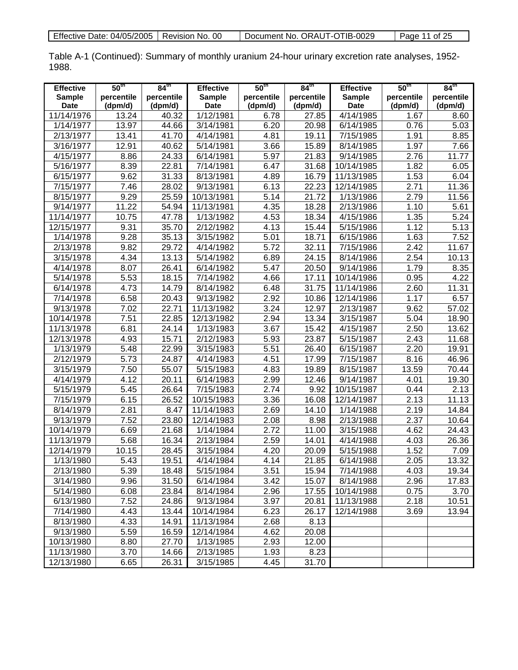| Effective Date: 04/05/2005   Revision No. 00 |  | Document No. ORAUT-OTIB-0029 | Page 11 of 25 |
|----------------------------------------------|--|------------------------------|---------------|
|----------------------------------------------|--|------------------------------|---------------|

Table A-1 (Continued): Summary of monthly uranium 24-hour urinary excretion rate analyses, 1952- 1988.

| <b>Effective</b> | 50 <sup>th</sup>  | $84^{\text{th}}$ | <b>Effective</b>   | 50 <sup>th</sup>  | $84^{\text{th}}$    | <b>Effective</b> | 50 <sup>th</sup>  | 84 <sup>th</sup>   |
|------------------|-------------------|------------------|--------------------|-------------------|---------------------|------------------|-------------------|--------------------|
| <b>Sample</b>    | percentile        | percentile       | <b>Sample</b>      | percentile        | percentile          | <b>Sample</b>    | percentile        | percentile         |
| <b>Date</b>      | (dpm/d)           | (dpm/d)          | <b>Date</b>        | (dpm/d)           | (dpm/d)             | <b>Date</b>      | (dpm/d)           | (dpm/d)            |
| 11/14/1976       | 13.24             | 40.32            | 1/12/1981          | 6.78              | 27.85               | 4/14/1985        | 1.67              | 8.60               |
| 1/14/1977        | 13.97             | 44.66            | 3/14/1981          | 6.20              | 20.98               | 6/14/1985        | 0.76              | $\overline{5.03}$  |
| 2/13/1977        | 13.41             | 41.70            | 4/14/1981          | 4.81              | 19.11               | 7/15/1985        | 1.91              | 8.85               |
| 3/16/1977        | 12.91             | 40.62            | 5/14/1981          | 3.66              | 15.89               | 8/14/1985        | 1.97              | 7.66               |
| 4/15/1977        | 8.86              | 24.33            | 6/14/1981          | $\overline{5.97}$ | 21.83               | 9/14/1985        | 2.76              | $\overline{11.77}$ |
| 5/16/1977        | 8.39              | 22.81            | 7/14/1981          | 6.47              | 31.68               | 10/14/1985       | 1.82              | 6.05               |
| 6/15/1977        | 9.62              | 31.33            | 8/13/1981          | 4.89              | 16.79               | 11/13/1985       | 1.53              | 6.04               |
| 7/15/1977        | 7.46              | 28.02            | 9/13/1981          | 6.13              | 22.23               | 12/14/1985       | 2.71              | 11.36              |
| 8/15/1977        | 9.29              | 25.59            | 10/13/1981         | 5.14              | 21.72               | 1/13/1986        | 2.79              | 11.56              |
| 9/14/1977        | 11.22             | 54.94            | 11/13/1981         | 4.35              | 18.28               | 2/13/1986        | 1.10              | 5.61               |
| 11/14/1977       | 10.75             | 47.78            | 1/13/1982          | 4.53              | 18.34               | 4/15/1986        | 1.35              | 5.24               |
| 12/15/1977       | 9.31              | 35.70            | $\sqrt{2}/12/1982$ | 4.13              | 15.44               | 5/15/1986        | 1.12              | $\overline{5.13}$  |
| 1/14/1978        | 9.28              | 35.13            | 3/15/1982          | 5.01              | 18.71               | 6/15/1986        | 1.63              | 7.52               |
| 2/13/1978        | 9.82              | 29.72            | 4/14/1982          | $\overline{5.72}$ | 32.11               | 7/15/1986        | 2.42              | 11.67              |
| 3/15/1978        | 4.34              | 13.13            | 5/14/1982          | 6.89              | $\overline{2}$ 4.15 | 8/14/1986        | 2.54              | 10.13              |
| 4/14/1978        | 8.07              | 26.41            | 6/14/1982          | 5.47              | 20.50               | 9/14/1986        | 1.79              | 8.35               |
| 5/14/1978        | 5.53              | 18.15            | 7/14/1982          | 4.66              | $\overline{17.11}$  | 10/14/1986       | 0.95              | 4.22               |
| 6/14/1978        | 4.73              | 14.79            | 8/14/1982          | 6.48              | 31.75               | 11/14/1986       | 2.60              | 11.31              |
| 7/14/1978        | 6.58              | 20.43            | 9/13/1982          | 2.92              | 10.86               | 12/14/1986       | 1.17              | 6.57               |
| 9/13/1978        | 7.02              | 22.71            | 11/13/1982         | 3.24              | 12.97               | 2/13/1987        | 9.62              | 57.02              |
| 10/14/1978       | 7.51              | 22.85            | 12/13/1982         | 2.94              | 13.34               | 3/15/1987        | $\overline{5.04}$ | 18.90              |
| 11/13/1978       | 6.81              | 24.14            | 1/13/1983          | 3.67              | 15.42               | 4/15/1987        | 2.50              | 13.62              |
| 12/13/1978       | 4.93              | 15.71            | 2/12/1983          | 5.93              | 23.87               | 5/15/1987        | 2.43              | 11.68              |
| 1/13/1979        | 5.48              | 22.99            | 3/15/1983          | 5.51              | 26.40               | 6/15/1987        | 2.20              | 19.91              |
| 2/12/1979        | 5.73              | 24.87            | 4/14/1983          | 4.51              | 17.99               | 7/15/1987        | 8.16              | 46.96              |
| 3/15/1979        | 7.50              | 55.07            | 5/15/1983          | 4.83              | 19.89               | 8/15/1987        | 13.59             | 70.44              |
| 4/14/1979        | 4.12              | 20.11            | 6/14/1983          | 2.99              | $\overline{12.46}$  | 9/14/1987        | 4.01              | 19.30              |
| 5/15/1979        | 5.45              | 26.64            | 7/15/1983          | 2.74              | 9.92                | 10/15/1987       | 0.44              | 2.13               |
| 7/15/1979        | 6.15              | 26.52            | 10/15/1983         | 3.36              | 16.08               | 12/14/1987       | 2.13              | 11.13              |
| 8/14/1979        | 2.81              | 8.47             | 11/14/1983         | 2.69              | 14.10               | 1/14/1988        | 2.19              | 14.84              |
| 9/13/1979        | 7.52              | 23.80            | 12/14/1983         | 2.08              | 8.98                | 2/13/1988        | 2.37              | 10.64              |
| 10/14/1979       | 6.69              | 21.68            | 1/14/1984          | 2.72              | 11.00               | 3/15/1988        | 4.62              | 24.43              |
| 11/13/1979       | 5.68              | 16.34            | 2/13/1984          | 2.59              | 14.01               | 4/14/1988        | 4.03              | 26.36              |
| 12/14/1979       | 10.15             | 28.45            | 3/15/1984          | 4.20              | 20.09               | 5/15/1988        | 1.52              | 7.09               |
| 1/13/1980        | 5.43              | 19.51            | 4/14/1984          | 4.14              | 21.85               | 6/14/1988        | 2.05              | 13.32              |
| 2/13/1980        | 5.39              | 18.48            | 5/15/1984          | 3.51              | 15.94               | 7/14/1988        | 4.03              | 19.34              |
| 3/14/1980        | 9.96              | 31.50            | 6/14/1984          | 3.42              | 15.07               | 8/14/1988        | 2.96              | 17.83              |
| 5/14/1980        | 6.08              | 23.84            | 8/14/1984          | 2.96              | 17.55               | 10/14/1988       | 0.75              | 3.70               |
| 6/13/1980        | 7.52              | 24.86            | 9/13/1984          | 3.97              | 20.81               | 11/13/1988       | 2.18              | 10.51              |
| 7/14/1980        | 4.43              | 13.44            | 10/14/1984         | 6.23              | 26.17               | 12/14/1988       | 3.69              | 13.94              |
| 8/13/1980        | 4.33              | 14.91            | 11/13/1984         | 2.68              | 8.13                |                  |                   |                    |
| 9/13/1980        | $\overline{5.59}$ | 16.59            | 12/14/1984         | 4.62              | 20.08               |                  |                   |                    |
| 10/13/1980       | 8.80              | 27.70            | 1/13/1985          | 2.93              | 12.00               |                  |                   |                    |
| 11/13/1980       | 3.70              | 14.66            | 2/13/1985          | $\overline{1}.93$ | 8.23                |                  |                   |                    |
| 12/13/1980       | 6.65              | 26.31            | 3/15/1985          | 4.45              | 31.70               |                  |                   |                    |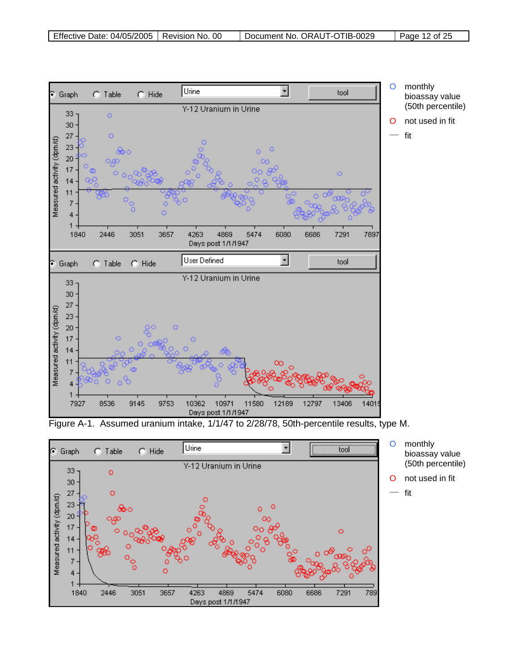



bioassay value (50th percentile)

\_\_\_ fit

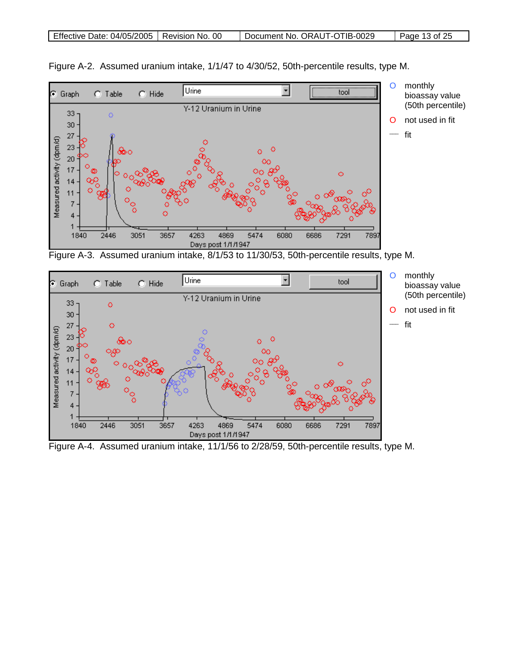

Figure A-2. Assumed uranium intake, 1/1/47 to 4/30/52, 50th-percentile results, type M.





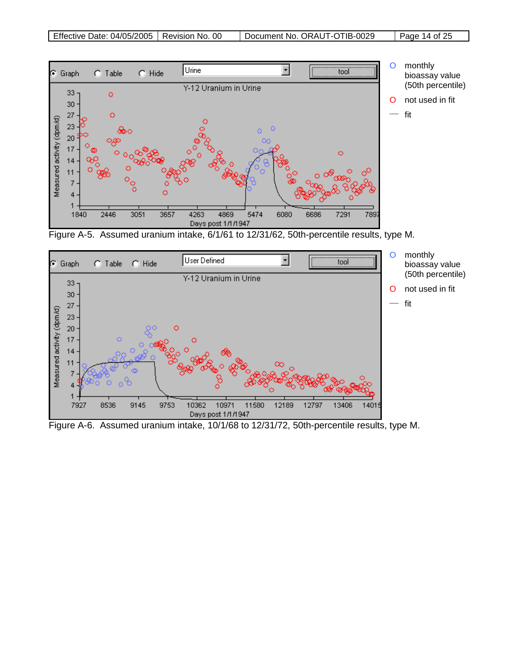

Figure A-5. Assumed uranium intake, 6/1/61 to 12/31/62, 50th-percentile results, type M.



Figure A-6. Assumed uranium intake, 10/1/68 to 12/31/72, 50th-percentile results, type M.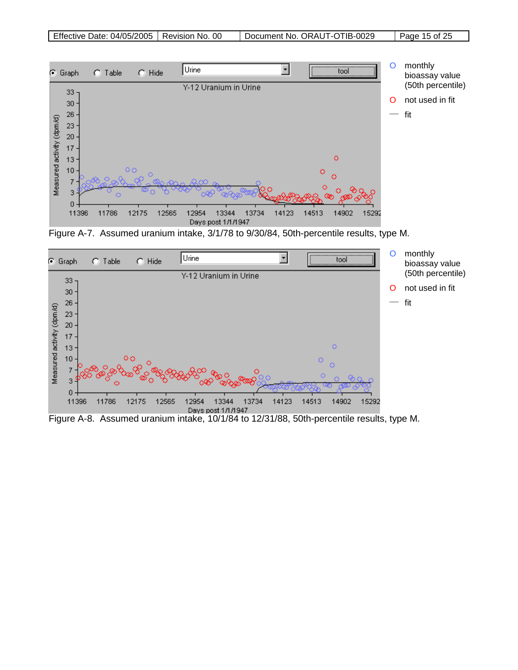

Figure A-7. Assumed uranium intake, 3/1/78 to 9/30/84, 50th-percentile results, type M.



Figure A-8. Assumed uranium intake, 10/1/84 to 12/31/88, 50th-percentile results, type M.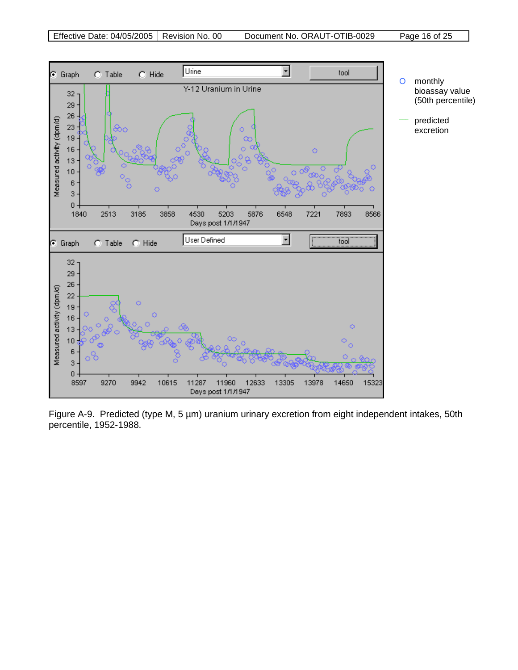

Figure A-9. Predicted (type M, 5 µm) uranium urinary excretion from eight independent intakes, 50th percentile, 1952-1988.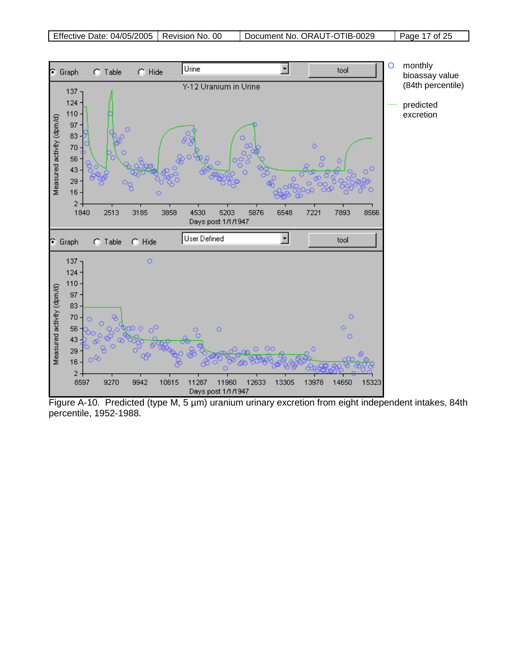

Figure A-10. Predicted (type M, 5 µm) uranium urinary excretion from eight independent intakes, 84th percentile, 1952-1988.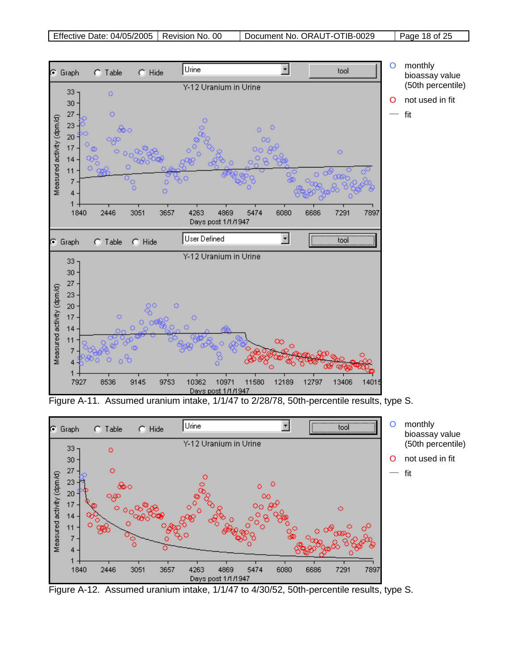

Figure A-11. Assumed uranium intake, 1/1/47 to 2/28/78, 50th-percentile results, type S.



Figure A-12. Assumed uranium intake, 1/1/47 to 4/30/52, 50th-percentile results, type S.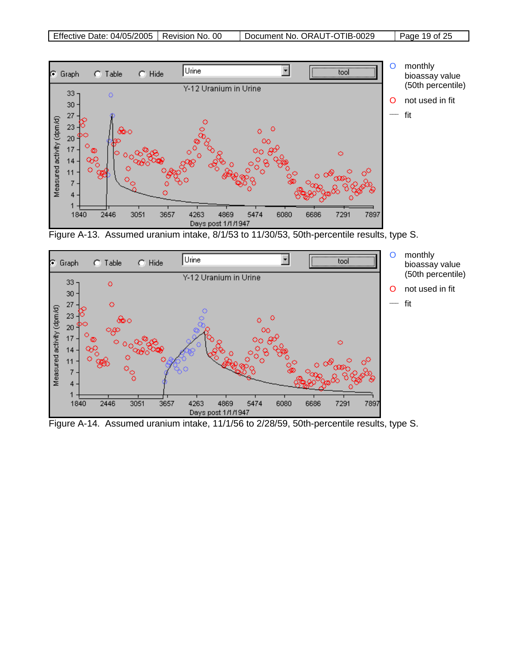

Figure A-13. Assumed uranium intake, 8/1/53 to 11/30/53, 50th-percentile results, type S.



Figure A-14. Assumed uranium intake, 11/1/56 to 2/28/59, 50th-percentile results, type S.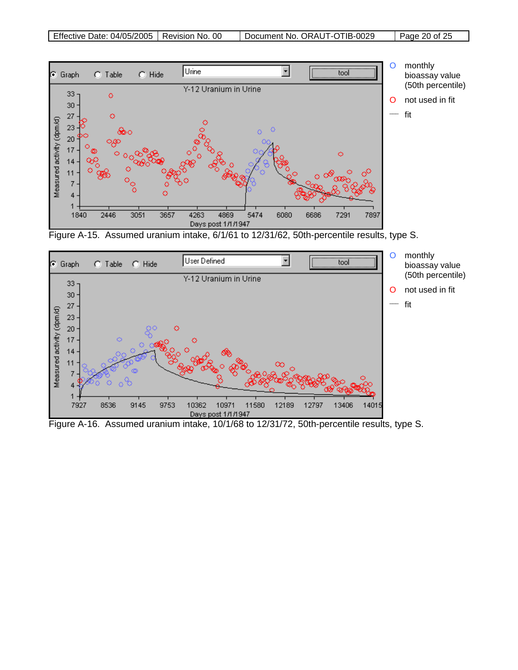

Figure A-15. Assumed uranium intake, 6/1/61 to 12/31/62, 50th-percentile results, type S.



Figure A-16. Assumed uranium intake, 10/1/68 to 12/31/72, 50th-percentile results, type S.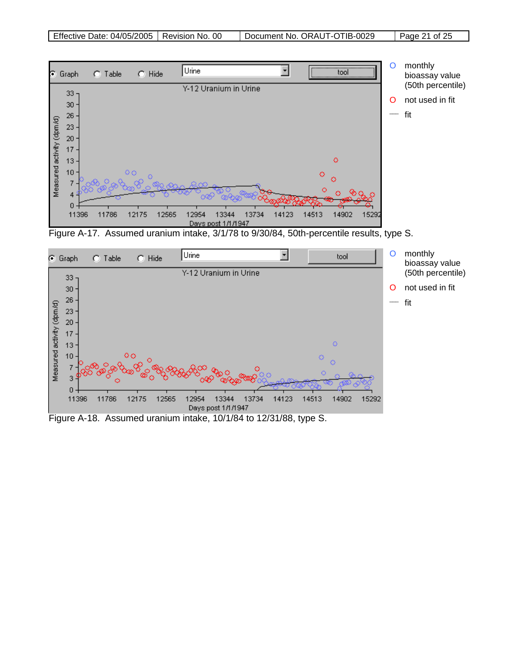

Figure A-17. Assumed uranium intake, 3/1/78 to 9/30/84, 50th-percentile results, type S.

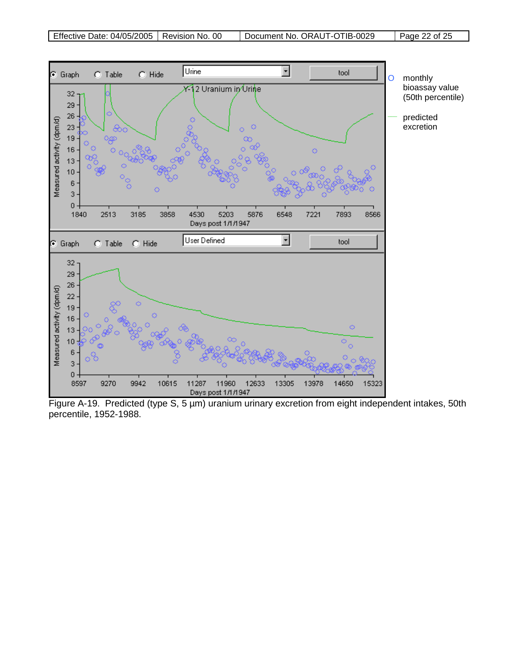

Figure A-19. Predicted (type S, 5 µm) uranium urinary excretion from eight independent intakes, 50th percentile, 1952-1988.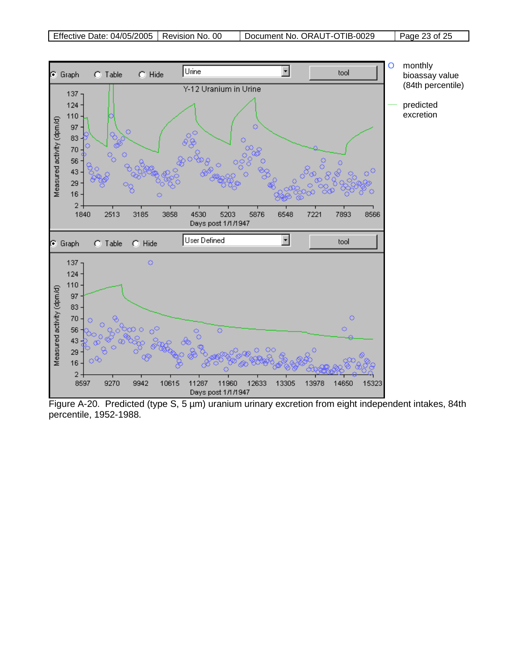

Figure A-20. Predicted (type S, 5 µm) uranium urinary excretion from eight independent intakes, 84th percentile, 1952-1988.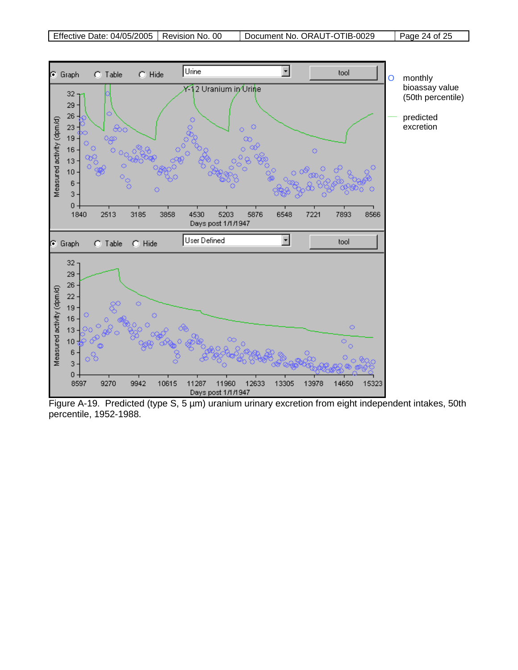

Figure A-19. Predicted (type S, 5 µm) uranium urinary excretion from eight independent intakes, 50th percentile, 1952-1988.